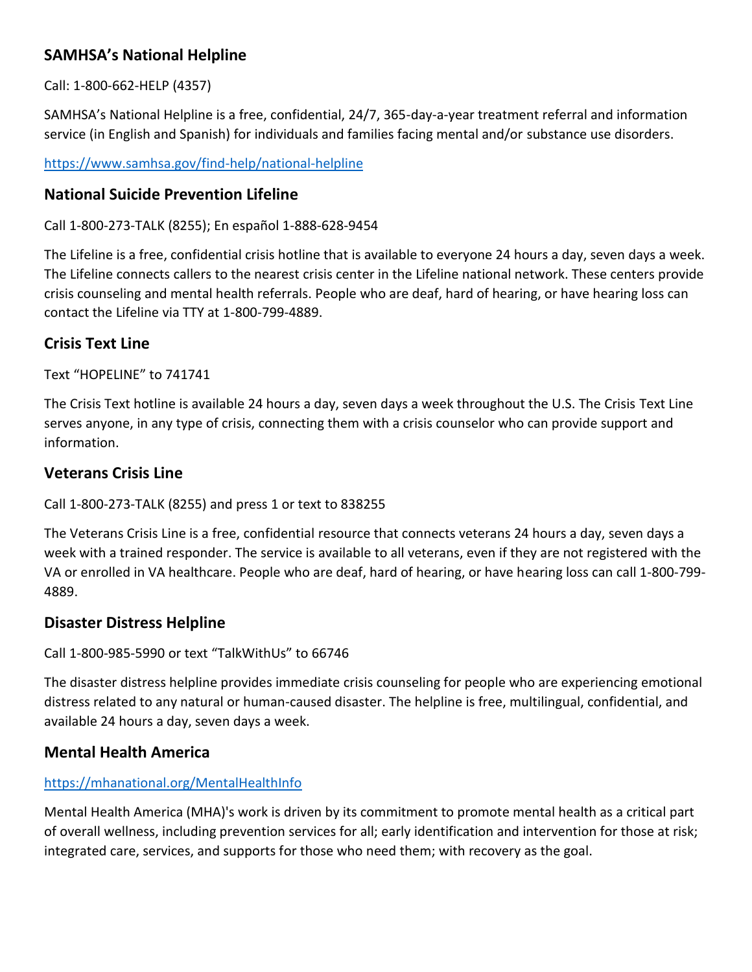# **SAMHSA's National Helpline**

Call: 1-800-662-HELP (4357)

SAMHSA's National Helpline is a free, confidential, 24/7, 365-day-a-year treatment referral and information service (in English and Spanish) for individuals and families facing mental and/or substance use disorders.

<https://www.samhsa.gov/find-help/national-helpline>

### **National Suicide Prevention Lifeline**

Call 1-800-273-TALK (8255); En español 1-888-628-9454

The Lifeline is a free, confidential crisis hotline that is available to everyone 24 hours a day, seven days a week. The Lifeline connects callers to the nearest crisis center in the Lifeline national network. These centers provide crisis counseling and mental health referrals. People who are deaf, hard of hearing, or have hearing loss can contact the Lifeline via TTY at 1-800-799-4889.

# **Crisis Text Line**

Text "HOPELINE" to 741741

The Crisis Text hotline is available 24 hours a day, seven days a week throughout the U.S. The Crisis Text Line serves anyone, in any type of crisis, connecting them with a crisis counselor who can provide support and information.

## **Veterans Crisis Line**

Call 1-800-273-TALK (8255) and press 1 or text to 838255

The Veterans Crisis Line is a free, confidential resource that connects veterans 24 hours a day, seven days a week with a trained responder. The service is available to all veterans, even if they are not registered with the VA or enrolled in VA healthcare. People who are deaf, hard of hearing, or have hearing loss can call 1-800-799- 4889.

### **Disaster Distress Helpline**

Call 1-800-985-5990 or text "TalkWithUs" to 66746

The disaster distress helpline provides immediate crisis counseling for people who are experiencing emotional distress related to any natural or human-caused disaster. The helpline is free, multilingual, confidential, and available 24 hours a day, seven days a week.

# **Mental Health America**

#### <https://mhanational.org/MentalHealthInfo>

Mental Health America (MHA)'s work is driven by its commitment to promote mental health as a critical part of overall wellness, including prevention services for all; early identification and intervention for those at risk; integrated care, services, and supports for those who need them; with recovery as the goal.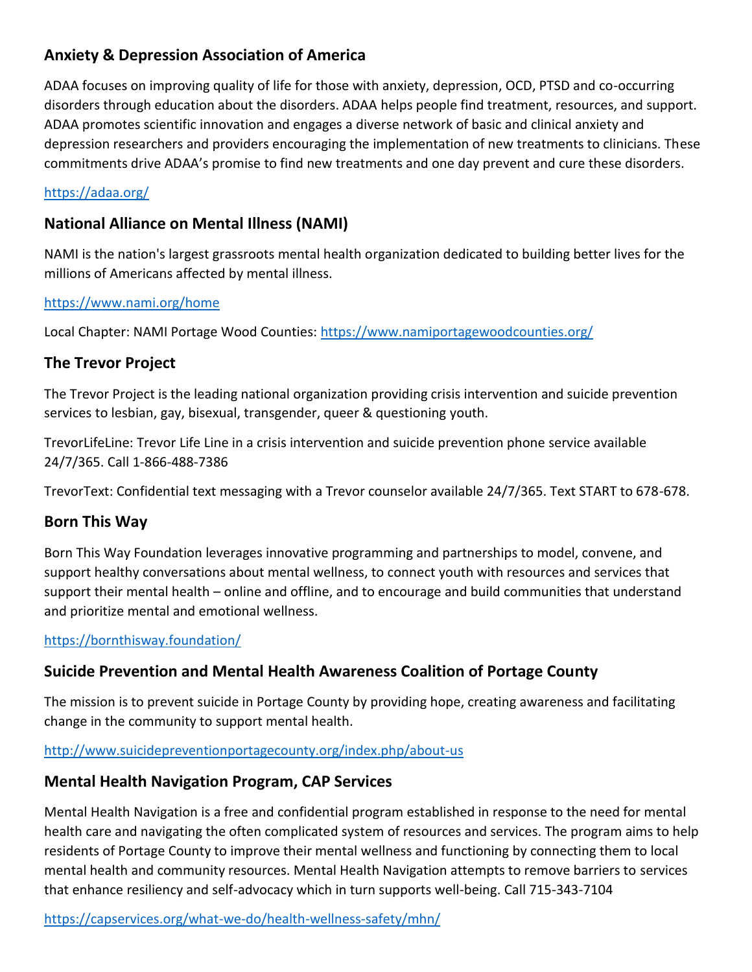# **Anxiety & Depression Association of America**

ADAA focuses on improving quality of life for those with anxiety, depression, OCD, PTSD and co-occurring disorders through education about the disorders. ADAA helps people find treatment, resources, and support. ADAA promotes scientific innovation and engages a diverse network of basic and clinical anxiety and depression researchers and providers encouraging the implementation of new treatments to clinicians. These commitments drive ADAA's promise to find new treatments and one day prevent and cure these disorders.

### <https://adaa.org/>

## **National Alliance on Mental Illness (NAMI)**

NAMI is the nation's largest grassroots mental health organization dedicated to building better lives for the millions of Americans affected by mental illness.

#### <https://www.nami.org/home>

Local Chapter: NAMI Portage Wood Counties:<https://www.namiportagewoodcounties.org/>

## **The Trevor Project**

The Trevor Project is the leading national organization providing crisis intervention and suicide prevention services to lesbian, gay, bisexual, transgender, queer & questioning youth.

TrevorLifeLine: Trevor Life Line in a crisis intervention and suicide prevention phone service available 24/7/365. Call 1-866-488-7386

TrevorText: Confidential text messaging with a Trevor counselor available 24/7/365. Text START to 678-678.

### **Born This Way**

Born This Way Foundation leverages innovative programming and partnerships to model, convene, and support healthy conversations about mental wellness, to connect youth with resources and services that support their mental health – online and offline, and to encourage and build communities that understand and prioritize mental and emotional wellness.

<https://bornthisway.foundation/>

# **Suicide Prevention and Mental Health Awareness Coalition of Portage County**

The mission is to prevent suicide in Portage County by providing hope, creating awareness and facilitating change in the community to support mental health.

#### <http://www.suicidepreventionportagecounty.org/index.php/about-us>

### **Mental Health Navigation Program, CAP Services**

Mental Health Navigation is a free and confidential program established in response to the need for mental health care and navigating the often complicated system of resources and services. The program aims to help residents of Portage County to improve their mental wellness and functioning by connecting them to local mental health and community resources. Mental Health Navigation attempts to remove barriers to services that enhance resiliency and self-advocacy which in turn supports well-being. Call 715-343-7104